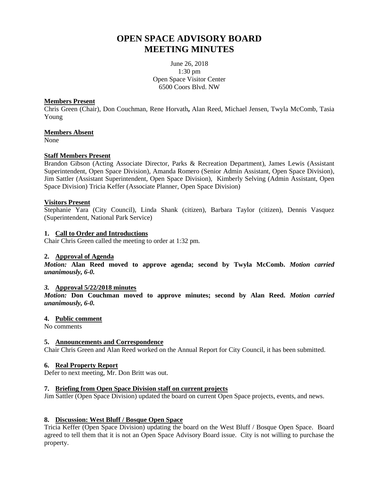# **OPEN SPACE ADVISORY BOARD MEETING MINUTES**

June 26, 2018 1:30 pm Open Space Visitor Center 6500 Coors Blvd. NW

#### **Members Present**

Chris Green (Chair), Don Couchman, Rene Horvath**,** Alan Reed, Michael Jensen, Twyla McComb, Tasia Young

#### **Members Absent**

None

## **Staff Members Present**

Brandon Gibson (Acting Associate Director, Parks & Recreation Department), James Lewis (Assistant Superintendent, Open Space Division), Amanda Romero (Senior Admin Assistant, Open Space Division), Jim Sattler (Assistant Superintendent, Open Space Division), Kimberly Selving (Admin Assistant, Open Space Division) Tricia Keffer (Associate Planner, Open Space Division)

#### **Visitors Present**

Stephanie Yara (City Council), Linda Shank (citizen), Barbara Taylor (citizen), Dennis Vasquez (Superintendent, National Park Service)

#### **1. Call to Order and Introductions**

Chair Chris Green called the meeting to order at 1:32 pm.

## **2. Approval of Agenda**

*Motion:* **Alan Reed moved to approve agenda; second by Twyla McComb.** *Motion carried unanimously, 6-0.*

#### *3.* **Approval 5/22/2018 minutes**

*Motion:* **Don Couchman moved to approve minutes; second by Alan Reed.** *Motion carried unanimously, 6-0.*

#### **4. Public comment**

No comments

## **5. Announcements and Correspondence**

Chair Chris Green and Alan Reed worked on the Annual Report for City Council, it has been submitted.

## **6. Real Property Report**

Defer to next meeting, Mr. Don Britt was out.

## **7. Briefing from Open Space Division staff on current projects**

Jim Sattler (Open Space Division) updated the board on current Open Space projects, events, and news.

## **8. Discussion: West Bluff / Bosque Open Space**

Tricia Keffer (Open Space Division) updating the board on the West Bluff / Bosque Open Space. Board agreed to tell them that it is not an Open Space Advisory Board issue. City is not willing to purchase the property.